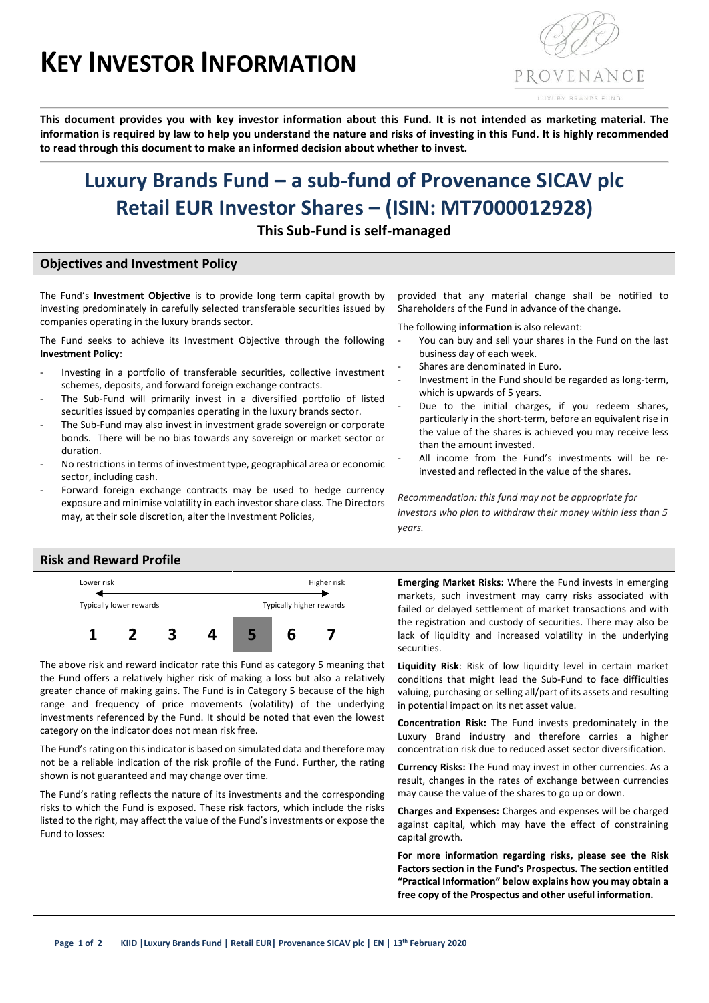# **KEY INVESTOR INFORMATION**



**This document provides you with key investor information about this Fund. It is not intended as marketing material. The information is required by law to help you understand the nature and risks of investing in this Fund. It is highly recommended to read through this document to make an informed decision about whether to invest.**

## **Luxury Brands Fund – a sub-fund of Provenance SICAV plc Retail EUR Investor Shares – (ISIN: MT7000012928)**

**This Sub-Fund is self-managed**

#### **Objectives and Investment Policy**

The Fund's **Investment Objective** is to provide long term capital growth by investing predominately in carefully selected transferable securities issued by companies operating in the luxury brands sector.

The Fund seeks to achieve its Investment Objective through the following **Investment Policy**:

- Investing in a portfolio of transferable securities, collective investment schemes, deposits, and forward foreign exchange contracts.
- The Sub-Fund will primarily invest in a diversified portfolio of listed securities issued by companies operating in the luxury brands sector.
- The Sub-Fund may also invest in investment grade sovereign or corporate bonds. There will be no bias towards any sovereign or market sector or duration.
- No restrictions in terms of investment type, geographical area or economic sector, including cash.
- Forward foreign exchange contracts may be used to hedge currency exposure and minimise volatility in each investor share class. The Directors may, at their sole discretion, alter the Investment Policies,

provided that any material change shall be notified to Shareholders of the Fund in advance of the change.

The following **information** is also relevant:

- You can buy and sell your shares in the Fund on the last business day of each week.
- Shares are denominated in Euro.
- Investment in the Fund should be regarded as long-term, which is upwards of 5 years.
- Due to the initial charges, if you redeem shares, particularly in the short-term, before an equivalent rise in the value of the shares is achieved you may receive less than the amount invested.
- All income from the Fund's investments will be reinvested and reflected in the value of the shares.

*Recommendation: this fund may not be appropriate for investors who plan to withdraw their money within less than 5 years.*

#### **Risk and Reward Profile**



The above risk and reward indicator rate this Fund as category 5 meaning that the Fund offers a relatively higher risk of making a loss but also a relatively greater chance of making gains. The Fund is in Category 5 because of the high range and frequency of price movements (volatility) of the underlying investments referenced by the Fund. It should be noted that even the lowest category on the indicator does not mean risk free.

The Fund's rating on this indicator is based on simulated data and therefore may not be a reliable indication of the risk profile of the Fund. Further, the rating shown is not guaranteed and may change over time.

The Fund's rating reflects the nature of its investments and the corresponding risks to which the Fund is exposed. These risk factors, which include the risks listed to the right, may affect the value of the Fund's investments or expose the Fund to losses:

**Emerging Market Risks:** Where the Fund invests in emerging markets, such investment may carry risks associated with failed or delayed settlement of market transactions and with the registration and custody of securities. There may also be lack of liquidity and increased volatility in the underlying securities.

**Liquidity Risk**: Risk of low liquidity level in certain market conditions that might lead the Sub-Fund to face difficulties valuing, purchasing or selling all/part of its assets and resulting in potential impact on its net asset value.

**Concentration Risk:** The Fund invests predominately in the Luxury Brand industry and therefore carries a higher concentration risk due to reduced asset sector diversification.

**Currency Risks:** The Fund may invest in other currencies. As a result, changes in the rates of exchange between currencies may cause the value of the shares to go up or down.

**Charges and Expenses:** Charges and expenses will be charged against capital, which may have the effect of constraining capital growth.

**For more information regarding risks, please see the Risk Factors section in the Fund's Prospectus. The section entitled "Practical Information" below explains how you may obtain a free copy of the Prospectus and other useful information.**